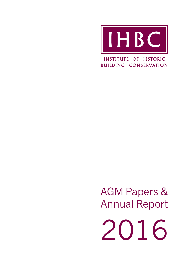

 $\cdot$ INSTITUTE  $\cdot$  OF  $\cdot$  HISTORIC  $\cdot$ **BUILDING · CONSERVATION** 

AGM Papers & Annual Report

2016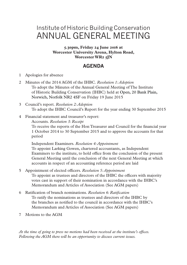# Institute of Historic Building Conservation ANNUAL GENERAL MEETING

**5.30pm, Friday 24 June 2016 at Worcester University Arena, Hylton Road, Worcester WR2 5JN**

## **AGENDA**

- 1 Apologies for absence
- 2 Minutes of the 2014 AGM of the IHBC. *Resolution 1: Adoption* To adopt the Minutes of the Annual General Meeting of The Institute of Historic Building Conservation (IHBC) held at Open, 20 Bank Plain, Norwich, Norfolk NR2 4SF on Friday 19 June 2015
- 3 Council's report. *Resolution 2: Adoption* To adopt the IHBC Council's Report for the year ending 30 September 2015
- 4 Financial statement and treasurer's report:
	- Accounts. *Resolution 3: Receipt*

To receive the reports of the Hon Treasurer and Council for the financial year 1 October 2014 to 30 September 2015 and to approve the accounts for that period

Independent Examiners. *Resolution 4: Appointment* To appoint Larking Gowen, chartered accountants, as Independent Examiners to the institute, to hold office from the conclusion of the present General Meeting until the conclusion of the next General Meeting at which accounts in respect of an accounting reference period are laid

- 5 Appointment of elected officers. *Resolution 5: Appointment* To appoint as trustees and directors of the IHBC the officers with majority votes cast in support of their nomination in accordance with the IHBC's Memorandum and Articles of Association (See AGM papers)
- 6 Ratification of branch nominations. *Resolution 6: Ratification* To ratify the nominations as trustees and directors of the IHBC by the branches as notified to the council in accordance with the IHBC's Memorandum and Articles of Association (See AGM papers)
- 7 Motions to the AGM

*At the time of going to press no motions had been received at the institute's offices. Following the AGM there will be an opportunity to discuss current issues.*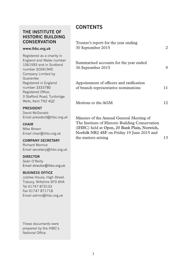## **THE INSTITUTE OF HISTORIC BUILDING CONSERVATION**

#### **www.ihbc.org.uk**

Registered as a charity in England and Wales number 1061593 and in Scotland number SC041945 Company Limited by Guarantee Registered in England number 3333780 Registered Office: 3 Stafford Road, Tunbridge Wells, Kent TN2 4QZ

#### **PRESIDENT**

David McDonald Email president@ihbc.org.uk

#### **CHAIR**

Mike Brown Email chair@ihbc.org.uk

#### **COMPANY SECRETARY**

Richard Morrice Email secretary@ihbc.org.uk

#### **DIRECTOR**

Seán O'Reilly Email director@ihbc.org.uk

#### **BUSINESS OFFICE**

Jubilee House, High Street, Tisbury, Wiltshire SP3 6HA Tel 01747 873133 Fax 01747 871718 Email admin@ihbc.org.uk

These documents were prepared by the IHBC's National Office.

## **CONTENTS**

| Trustee's report for the year ending<br>30 September 2015                                                                                                                                 | 2  |
|-------------------------------------------------------------------------------------------------------------------------------------------------------------------------------------------|----|
| Summarised accounts for the year ended<br>30 September 2015                                                                                                                               | 9  |
| Appointment of officers and ratification<br>of branch representative nominations                                                                                                          | 11 |
| Motions to the AGM                                                                                                                                                                        | 12 |
| Minutes of the Annual General Meeting of<br>The Institute of Historic Building Conservation<br>(IHBC) held at Open, 20 Bank Plain, Norwich,<br>Norfolk NR2 4SF on Friday 19 June 2015 and |    |

the matters arising 13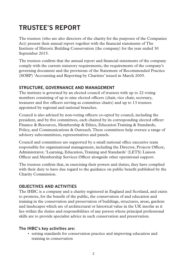# **TRUSTEE'S REPORT**

The trustees (who are also directors of the charity for the purposes of the Companies Act) present their annual report together with the financial statements of The Institute of Historic Building Conservation (the company) for the year ended 30 September 2015.

The trustees confirm that the annual report and financial statements of the company comply with the current statutory requirements, the requirements of the company's governing document and the provisions of the Statement of Recommended Practice (SORP) 'Accounting and Reporting by Charities' issued in March 2005.

## **STRUCTURE, GOVERNANCE AND MANAGEMENT**

The institute is governed by an elected council of trustees with up to 22 voting members consisting of up to nine elected officers (chair, vice chair, secretary, treasurer and five officers serving as committee chairs) and up to 13 trustees appointed by regional and national branches.

Council is also advised by non-voting officers co-opted by council, including the president, and by five committees, each chaired by its corresponding elected officer: Finance & Resources, Membership & Ethics, Education Training & Standards, Policy, and Communications & Outreach. These committees help oversee a range of advisory subcommittees, representatives and panels.

Council and committees are supported by a small national office executive team responsible for organisational management, including the Director, Projects Officer, Administrator, 'Learning, Education, Training and Standards' (LETS) Liaison Officer and Membership Services Officer alongside other operational support.

The trustees confirm that, in exercising their powers and duties, they have complied with their duty to have due regard to the guidance on public benefit published by the Charity Commission.

## **OBJECTIVES AND ACTIVITIES**

The IHBC is a company and a charity registered in England and Scotland, and exists to promote, for the benefit of the public, the conservation of and education and training in the conservation and preservation of buildings, structures, areas, gardens and landscapes which are of architectural or historical value in the UK insofar as it lies within the duties and responsibilities of any person whose principal professional skills are to provide specialist advice in such conservation and preservation.

#### **The IHBC's key activities are:**

• setting standards for conservation practice and improving education and training in conservation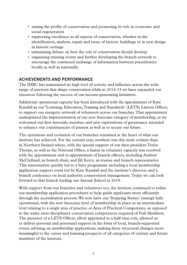- raising the profile of conservation and promoting its role in economic and social regeneration
- supporting excellence in all aspects of conservation, whether in the identification, analysis, repair and reuse of historic buildings or in new design in historic settings
- stimulating debate on how the role of conservation should develop
- organising training events and further developing the branch network to encourage the continued exchange of information between practitioners locally as well as nationally.

#### **ACHIEVEMENTS AND PERFORMANCE**

The IHBC has maintained its high level of activity and influence across the wide range of interests that shape conservation while in 2014-15 we have expanded our resources following the success of our income-generating initiatives.

Additional operational capacity has been introduced with the appointment of Kate Kendall as our 'Learning, Education, Training and Standards' (LETS) Liaison Officer, to support our energetic network of volunteers across our branches. That appointment underpinned the implementation of our new Associate category of membership, as we welcomed our first Associate member, and new explorations of governance intended to enhance our constituencies of interest as well as to secure our future.

The operations and evolution of our branches remained at the heart of what our institute has achieved. For the current year, nowhere was this more evident than in Northern Ireland where, with the special support of our then president Trefor Thorpe, as well as the National Office, a hiatus in voluntary capacity was resolved with the appointment and re-appointment of branch officers, including Andrew McClelland, as branch chair, and Jill Kerry, as trustee and branch representative. This rejuvenation quickly led to a busy programme including a local membership application support event led by Kate Kendall and the institute's director, and a branch conference on local authority conservation management. Today we can look forward to that branch leading our Annual School in 2018.

With support from our branches and volunteers too, the institute continued to refine our membership application procedures to help guide applicants more efficiently through the accreditation process. We now have our 'Stepping Stones' strategy fully operational, with the new Associate level of membership in place as an intermediate level relating to a single area of practice or Area of Practical Competence, as opposed to the wider inter-disciplinary conservation competences required of Full Members. The presence of a LETS Officer, albeit appointed to a half-time role, allowed us to deliver personal and personnel support in the form of local, branch-supported events advising on membership applications, making those structural changes more meaningful to the career and learning prospects of all categories of current and future members of the institute.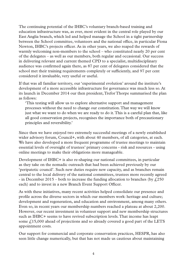The continuing potential of the IHBC's voluntary branch-based training and education infrastructure was, as ever, most evident in the central role played by our East Anglia branch, which led and helped manage the School in a tight partnership between the School committee, volunteers and the national office, in particular Fiona Newton, IHBC's projects officer. As in other years, we also reaped the rewards of warmly welcoming non-members to the school – who constituted nearly 20 per cent of the delegates – as well as our members, both regular and occasional. Our success in delivering relevant and current themed CPD to a specialist, multidisciplinary audience was confirmed again there, as 87 per cent of delegates considered that the school met their training requirements completely or sufficiently, and 97 per cent considered it invaluable, very useful or useful.

If that was all familiar territory, our 'experimental evolution' around the institute's development of a more accessible infrastructure for governance was much less so. At its launch in December 2014 our then president, Trefor Thorpe summarised the plan as follows:

'This testing will allow us to explore alternative support and management processes without the need to change our constitution. That way we will know just what we want to do when we are ready to do it. This is a careful plan that, like all good conservation projects, recognises the importance both of precautionary principles and reversibility.'

Since then we have enjoyed two extremely successful meetings of a newly established wider advisory forum, Council+, with about 40 members, of all categories, at each. We have also developed a more frequent programme of trustee meetings to maintain essential levels of oversight of trustees' primary concerns - risk and resources - using online meetings to make their obligations more manageable.

Development of IHBC+ is also re-shaping our national committees, in particular as they take on the nomadic outreach that had been achieved previously by our 'peripatetic council'. Such new duties require new capacity, and as branches remain central to the local delivery of the national committees, trustees more recently agreed - in December 2015 – both to increase the funding allocation to branches (by  $\ell$ ,250 each) and to invest in a new Branch Event Support Officer.

As with these initiatives, many recent activities helped consolidate our presence and profile across the diverse sectors in which our members work: heritage and culture; development and regeneration, and education and environment, among many others. Even so, in recent years our membership numbers reached a plateau at about 2,200. However, our recent investment in volunteer support and new membership structures such as IHBC+ seems to have revived subscription levels. That income has leapt some  $\ell$ ,15,000 ahead of projections and so already covered a good part of the LETS appointment costs.

Our support for commercial and corporate conservation practices, HESPR, has also seen little change numerically, but that has not made us cautious about maintaining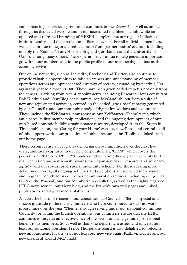and enhancing its services: promotion continues in the *Yearbook*, as well as online through its dedicated website and in our accredited members' details, while an updated and refreshed branding of HESPR complements our regular bulletins of business tenders and the circulation of fliers at events. For all individual members, we also continue to negotiate reduced rates from partner bodies' events – including notably the National Trust; Historic England (for thatch) and the University of Oxford among many others. These operations continue to help generate important growth in our numbers and in the public profile of our membership, all just as the economy revives.

Our online networks, such as LinkedIn, Facebook and Twitter, also continue to provide valuable opportunities to raise awareness and understanding of member operations across an unprecedented diversity of sectors, expanding by nearly 2,000 again this year to almost 11,000. These have been given added impetus not only from the new skills arising from recent appointments, including Research Notes consultant Bob Kindred and NewsBlog consultant Alison McCandlish, but from a suite of new and rejuvenated activities, centred on the added 'grass-root' capacity generated by our Council+ and our continuing body of digital innovations and evolutions. These include the WebStarter, now recast as our 'SelfStarter'; TeamStarter, which anticipates its first membership applications; and the ongoing development of our web-based domestic building maintenance resource, developed from the 'Stitch in Time' publication, the 'Caring for your Home' website, as well as - and central to all of this support work - our practitioners' online resource, the 'Toolbox', linked from our home page.

These resources are all crucial to delivering on our ambitions over the next five years, ambitions captured in our new corporate plan, 'CP20', which covers the period from 2015 to 2020. CP20 builds on these and other key achievements for the year, including our new Marsh Awards, the expansion of our research and advocacy agenda, and our re-cast professional indemnity scheme. For those seeking more detail on our work, all ongoing activities and operations are reported more widely and in greater depth across our other communication services, including our journal, *Context*, the *Yearbook*, and our Membership e-bulletin, as well as the highly regarded IHBC news service, our NewsBlog, and the branch's own web pages and linked publications and digital media platforms.

As ever, the board of trustees – our constitutional Council - offers its special and sincere gratitude to the many volunteers who have contributed to our vast work programme over the year. Whether through serving under our national committees, Council+, or within the branch operations, our volunteers ensure that the IHBC continues to serve as an effective voice of the sector and as a genuine professional benefit to its members. So as well as thanking departing trustees and officers, not least our outgoing president Trefor Thorpe, the board is also delighted to welcome new appointments for the year, not least our new vice chair, Kathryn Davies and our new president, David McDonald.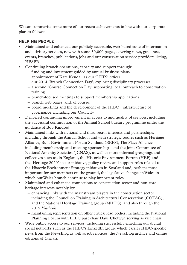We can summarise some more of our recent achievements in line with our corporate plan as follows:

## **HELPING PEOPLE**

- Maintained and enhanced our publicly accessible, web-based suite of information and advisory services, now with some 30,000 pages, covering news, guidance, events, branches, publications, jobs and our conservation service providers listing, HESPR
- Continuing branch operations, capacity and support through:
	- funding and investment guided by annual business plans
	- appointment of Kate Kendall as our 'LETS' officer
	- our 2014 'Branch Connection Day', exploring disciplinary processes
	- a second 'Course Connection Day' supporting local outreach to conservation training
	- branch-focused meetings to support membership applications
	- branch web pages, and, of course,
	- board meetings and the development of the IHBC+ infrastructure of governance, including our Council+
- Delivered continuing improvement in access to and quality of services, including the successful continuation of the Annual School bursary programme under the guidance of Bob Kindred
- Maintained links with national and third sector interests and partnerships, including through the Annual School and with strategic bodies such as Heritage Alliance, Built Environment Forum Scotland (BEFS), The Place Alliance – including membership and meeting sponsorship - and the Joint Committee of National Amenity Societies (JCNAS), as well as more informal groupings and collectives such as, in England, the Historic Environment Forum (HEF) and the 'Heritage 2020' sector initiative; policy review and support roles related to the Historic Environment Strategy initiatives in Scotland and, perhaps most important for our members on the ground, the legislative changes in Wales in which our Wales branch continue to play important roles
- Maintained and enhanced connections to construction sector and non-core heritage interests notably by:
	- enhancing links with the mainstream players in the construction sector, including the Council on Training in Architectural Conservation (COTAC), and the National Heritage Training group (NHTG), and also through the 2015 *Yearbook*
	- maintaining representation on other critical lead bodies, including the National Planning Forum with IHBC past chair Dave Chetwyn serving as vice chair
- Wide public access to our services, including successfully enriching our digital social networks such as the IHBC's LinkedIn group, which carries IHBC-specific news from the NewsBlog as well as jobs notices; the NewsBlog archive and online editions of *Context*.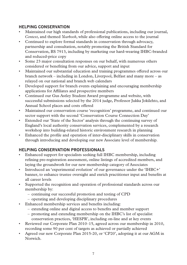## **HELPING CONSERVATION**

- Maintained our high standards of professional publications, including our journal, *Context*, and themed *Yearbook*, while also offering online access to the journal
- Continued to explore formal standards in conservation through advocacy, partnership and consultation, notably promoting the British Standard for Conservation, BS 7913, including by marketing our hard-wearing IHBC-branded and reduced-price copy
- Some 23 major consultation responses on our behalf, with numerous others considered or benefiting from our advice, support and input
- Maintained our substantial education and training programmes offered across our branch network – including in London, Liverpool, Belfast and many more – as relayed on our national and branch web calendars
- Developed support for branch events explaining and encouraging membership applications for Affiliates and prospective members
- Continued our Gus Astley Student Award programme and website, with successful submissions selected by the 2014 judge, Professor Jukka Jokilehto, and Annual School places and costs offered
- Maintained our conservation course 'recognition' programme, and continued our sector support with the second 'Conservation Course Connection Day'
- Extended our 'State of the Sector' analysis through the continuing survey of England's local authority conservation services, complemented by a research workshop into building-related historic environment research in planning
- Enhanced the profile and operation of inter-disciplinary skills in conservation through introducing and developing our new Associate level of membership.

## **HELPING CONSERVATION PROFESSIONALS**

- Enhanced support for specialists seeking full IHBC membership, including refining pre-registration assessment, online listings of accredited members, and laying the groundwork for our new membership category of Associates
- Introduced an 'experimental evolution' of our governance under the 'IHBC+' banner, to enhance trustee oversight and enrich practitioner input and benefits at all career levels
- Supported the recognition and operation of professional standards across our membership by:
	- continuing our successful promotion and testing of CPD
	- operating and developing disciplinary procedures
- Enhanced membership services and benefits including:
	- extending online and digital access to benefits and member support
	- promoting and extending membership on the IHBC's list of specialist conservation practices, 'HESPR', including on-line and at key events
- Reviewed our Corporate Plan 2010–15, agreed across our membership in 2010, recording some 90 per cent of targets as achieved or partially achieved
- Agreed our new Corporate Plan 2015-20, or 'CP20', adopting it at our AGM in Norwich.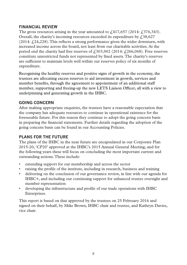#### **FINANCIAL REVIEW**

The gross resources arising in the year amounted to  $\ell$ 417,657 (2014:  $\ell$ 376,343). Overall, the charity's incoming resources exceeded its expenditure by  $\text{\emph{f}}38,627$  $(2014: \text{\textsterling}24, 228)$ . This reflects a strong performance given the wider downturn, with increased income across the board, not least from our charitable activities. At the period end the charity had free reserves of  $\ell$ , 303, 902 (2014:  $\ell$ , 266, 068). Free reserves constitute unrestricted funds not represented by fixed assets. The charity's reserves are sufficient to maintain levels well within our reserves policy of six months of expenditure.

Recognising the healthy reserves and positive signs of growth in the economy, the trustees are allocating excess reserves to aid investment in growth, services and member benefits, through the agreement to appointment of an additional staff member, supporting and freeing-up the new LETS Liaison Officer, all with a view to underpinning and generating growth in the IHBC.

#### **GOING CONCERN**

After making appropriate enquiries, the trustees have a reasonable expectation that the company has adequate resources to continue in operational existence for the foreseeable future. For this reason they continue to adopt the going concern basis in preparing the financial statements. Further details regarding the adoption of the going concern basis can be found in our Accounting Policies.

## **PLANS FOR THE FUTURE**

The plans of the IHBC in the near future are encapsulated in our Corporate Plan 2015-20, 'CP20' approved at the IHBC's 2015 Annual General Meeting, and for the following years these will focus on concluding the most important current and outstanding actions. These include:

- extending support for our membership and across the sector
- raising the profile of the institute, including in research, business and training
- delivering on the conclusion of our governance review, in line with our agenda for IHBC+, and including our continuing support for enhanced trustee oversight and member representation
- developing the infrastructure and profile of our trade operations with IHBC Enterprises.

This report is based on that approved by the trustees on 25 February 2016 and signed on their behalf, by Mike Brown, IHBC chair and trustee, and Kathryn Davies, vice chair.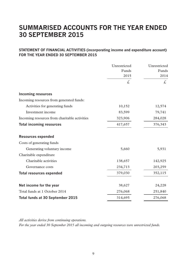## **SUMMARISED ACCOUNTS FOR THE YEAR ENDED 30 SEPTEMBER 2015**

#### **STATEMENT OF FINANCIAL ACTIVITIES (incorporating income and expenditure account) FOR THE YEAR ENDED 30 SEPTEMBER 2015**

|                                               | Unrestricted  | Unrestricted  |
|-----------------------------------------------|---------------|---------------|
|                                               | Funds<br>2015 | Funds<br>2014 |
|                                               |               |               |
|                                               | £,            | £.            |
| <b>Incoming resources</b>                     |               |               |
| Incoming resources from generated funds:      |               |               |
| Activities for generating funds               | 10,152        | 12,574        |
| Investment income                             | 83,599        | 79,741        |
| Incoming resources from charitable activities | 323,906       | 284,028       |
| <b>Total incoming resources</b>               | 417,657       | 376,343       |
| <b>Resources expended</b>                     |               |               |
| Costs of generating funds                     |               |               |
| Generating voluntary income                   | 5,660         | 5,931         |
| Charitable expenditure                        |               |               |
| Charitable activities                         | 138,657       | 142,925       |
| Governance costs                              | 234,713       | 203,259       |
| <b>Total resources expended</b>               | 379,030       | 352,115       |
| Net income for the year                       | 38,627        | 24,228        |
| Total funds at 1 October 2014                 | 276,068       | 251,840       |
| Total funds at 30 September 2015              | 314,695       | 276,068       |

*All activities derive from continuing operations.*

*For the year ended 30 September 2015 all incoming and outgoing resources were unrestricted funds.*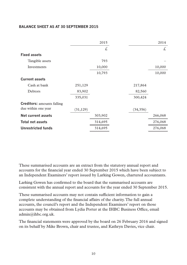#### **BALANCE SHEET AS AT 30 SEPTEMBER 2015**

|                                   |           | 2015    |           | 2014    |
|-----------------------------------|-----------|---------|-----------|---------|
|                                   |           | £,      |           | £       |
| <b>Fixed assets</b>               |           |         |           |         |
| Tangible assets                   |           | 793     |           |         |
| Investments                       |           | 10,000  |           | 10,000  |
|                                   |           | 10,793  |           | 10,000  |
| <b>Current assets</b>             |           |         |           |         |
| Cash at bank                      | 251,129   |         | 217,864   |         |
| Debtors                           | 83,902    |         | 82,560    |         |
|                                   | 335,031   |         | 300,424   |         |
| <b>Creditors:</b> amounts falling |           |         |           |         |
| due within one year               | (31, 129) |         | (34, 356) |         |
| Net current assets                |           | 303,902 |           | 266,068 |
| <b>Total net assets</b>           |           | 314,695 |           | 276,068 |
| Unrestricted funds                |           | 314,695 |           | 276,068 |

These summarised accounts are an extract from the statutory annual report and accounts for the financial year ended 30 September 2015 which have been subject to an Independent Examiners' report issued by Larking Gowen, chartered accountants.

Larking Gowen has confirmed to the board that the summarised accounts are consistent with the annual report and accounts for the year ended 30 September 2015.

These summarised accounts may not contain sufficient information to gain a complete understanding of the financial affairs of the charity. The full annual accounts, the council's report and the Independent Examiners' report on those accounts may be obtained from Lydia Porter at the IHBC Business Office, email admin@ihbc.org.uk.

The financial statements were approved by the board on 26 February 2016 and signed on its behalf by Mike Brown, chair and trustee, and Kathryn Davies, vice chair.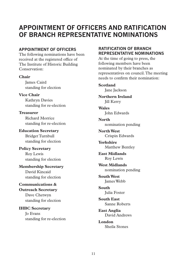## **APPOINTMENT OF OFFICERS AND RATIFICATION OF BRANCH REPRESENTATIVE NOMINATIONS**

## **APPOINTMENT OF OFFICERS**

The following nominations have been received at the registered office of The Institute of Historic Building Conservation:

**Chair**

James Caird standing for election

**Vice Chair** Kathryn Davies standing for re-election

**Treasurer** Richard Morrice standing for re-election

**Education Secretary** Bridget Turnbull standing for election

**Policy Secretary** Roy Lewis standing for election

**Membership Secretary** David Kincaid

standing for election

#### **Communications & Outreach Secretary**

Dave Chetwyn standing for election

#### **IHBC Secretary** Jo Evans

standing for re-election

## **RATIFICATION OF BRANCH REPRESENTATIVE NOMINATIONS**

At the time of going to press, the following members have been nominated by their branches as representatives on council. The meeting needs to confirm their nomination:

#### **Scotland** Jane Jackson

**Northern Ireland** Jill Kerry

**Wales** John Edwards

**North** nomination pending

**North West** Crispin Edwards

**Yorkshire** Matthew Bentley

**East Midlands** Roy Lewis

**West Midlands** nomination pending

**South West** James Webb

**South** Julia Foster

**South East** Sanne Roberts

**East Anglia** David Andrews

**London** Sheila Stones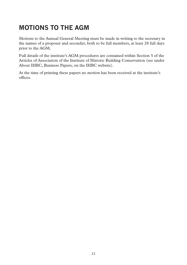# **MOTIONS TO THE AGM**

Motions to the Annual General Meeting must be made in writing to the secretary in the names of a proposer and seconder, both to be full members, at least 28 full days prior to the AGM.

Full details of the institute's AGM procedures are contained within Section 5 of the Articles of Association of the Institute of Historic Building Conservation (see under About IHBC, Business Papers, on the IHBC website).

At the time of printing these papers no motion has been received at the institute's offices.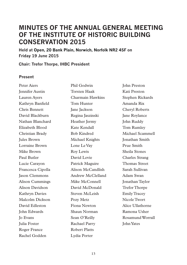## **MINUTES OF THE ANNUAL GENERAL MEETING OF THE INSTITUTE OF HISTORIC BUILDING CONSERVATION 2015**

**Held at Open, 20 Bank Plain, Norwich, Norfolk NR2 4SF on Friday 19 June 2015**

**Chair: Trefor Thorpe, IHBC President**

#### **Present**

Peter Aiers Jennifer Austin Lauren Ayers Kathryn Banfield Chris Bennett David Blackburn Nathan Blanchard Elizabeth Blood Christian Brady Jules Brown Lorraine Brown Mike Brown Paul Butler Lucie Carayon Francesca Cipolla Jason Clemmons Alison Cummings Alison Davidson Kathryn Davies Malcolm Dickson David Edleston John Edwards Jo Evans Julia Foster Roger France Rachel Godden

Phil Godwin Torsten Haak Charmain Hawkins Tom Hunter Jane Jackson Regina Jaszinski Heather Jermy Kate Kendall Bob Kindred Michael Knights Lone Le Vay Roy Lewis David Lovie Patrick Maguire Alison McCandlish Andrew McClelland Mike McConnell David McDonald Steven McLeish Pozy Metz Fiona Newton Shaun Norman Sean O'Reilly Rachael Parry Robert Platts Lydia Porter

John Preston Kati Preston Stephen Rickards Amanda Rix Cheryl Roberts Jane Roylance John Ruddy Tom Rumley Michael Scammell Jonathan Smith Prue Smith Sheila Stones Charles Strang Thomas Street Sarah Sullivan Adam Swan Jonathan Taylor Trefor Thorpe Emily Tracey Nicole Twort Alice Ullathorne Ramona Usher Rosamund Worrall John Yates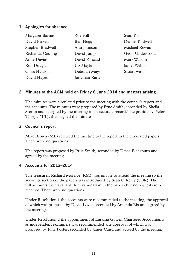#### **1 Apologies for absence**

| <b>Margaret Barnes</b> | Zoe Hill               | Sean Rix           |
|------------------------|------------------------|--------------------|
| David Birkett          | Ben Hogg               | Dennis Rodwell     |
| Stephen Bradwell       | Ann Johnson            | Michael Rowan      |
| Richenda Codling       | David Jump             | Geoff Underwood    |
| Anne Davies            | David Kincaid          | Mark Watson        |
| Ron Douglas            | Liz Mayle              | James Webb         |
| Chris Hawkins          | Deborah Mays           | <b>Stuart West</b> |
| David Hayes            | <b>Jonathan Ratter</b> |                    |

#### **2 Minutes of the AGM held on Friday 6 June 2014 and matters arising**

The minutes were circulated prior to the meeting with the council's report and the accounts. The minutes were proposed by Prue Smith, seconded by Sheila Stones and accepted by the meeting as an accurate record. The president, Trefor Thorpe (TT), then signed the minutes

#### **3 Council's report**

Mike Brown (MB) referred the meeting to the report in the circulated papers. There were no questions.

The report was proposed by Prue Smith, seconded by David Blackburn and agreed by the meeting.

#### **4 Accounts for 2013–2014**

The treasurer, Richard Morrice (RM), was unable to attend the meeting so the accounts section of the papers was introduced by Sean O'Reilly (SOR). The full accounts were available for examination in the papers but no requests were received. There were no questions.

Under Resolution 1 the accounts were recommended to the meeting, the approval of which was proposed by David Lovie, seconded by Amanda Rix and agreed by the meeting.

Under Resolution 2 the appointment of Larking Gowen Chartered Accountants as independent examiners was recommended, the approval of which was proposed by Julia Foster, seconded by James Caird and agreed by the meeting.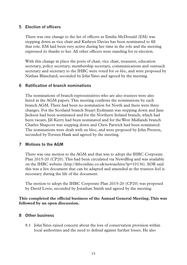#### **5 Election of officers**

There was one change to the list of officers as Emilia McDonald (EM) was stepping down as vice chair and Kathryn Davies has been nominated to fill that role. EM had been very active during her time in the role and the meeting expressed its thanks to her. All other officers were standing for re-election.

With this change in place the posts of chair, vice chair, treasurer, education secretary, policy secretary, membership secretary, communications and outreach secretary and secretary to the IHBC were voted for *en bloc*, and were proposed by Nathan Blanchard, seconded by John Yates and agreed by the meeting.

#### **6 Ratification of branch nominations**

The nominations of branch representatives who are also trustees were also listed in the AGM papers. This meeting confirms the nominations by each branch AGM. There had been no nomination for North and there were three changes. For the Scotland branch Stuart Eydmann was stepping down and Jane Jackson had been nominated and for the Northern Ireland branch, which had been vacant, Jill Kerry had been nominated and for the West Midlands branch Charles Shapcott was stepping down and Chris Partrick had been nominated. The nominations were dealt with en bloc, and were proposed by John Preston, seconded by Torsten Haak and agreed by the meeting.

#### **7 Motions to the AGM**

There was one motion to the AGM and that was to adopt the IHBC Corporate Plan 2015-20 (CP20). This had been circulated via NewsBlog and was available on the IHBC website (http://ihbconline.co.uk/newsachive/?p=10136). SOR said this was a live document that can be adapted and amended as the trustees feel is necessary during the life of the document.

The motion to adopt the IHBC Corporate Plan 2015-20 (CP20) was proposed by David Lovie, seconded by Jonathan Smith and agreed by the meeting.

**This completed the official business of the Annual General Meeting. This was followed by an open discussion.**

#### **8 Other business**

8.1 John Yates raised concern about the loss of conservation provision within local authorities and the need to defend against further losses. He also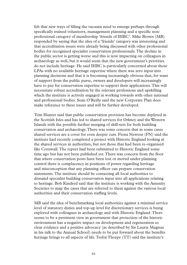felt that new ways of filling the vacuum need to emerge perhaps through specifically trained volunteers, management planning and a specific nonprofessional category of membership 'friends of IHBC'. Mike Brown (MB) responded by saying that the idea of a 'friends' category was interesting and that accreditation issues were already being discussed with other professional bodies for recognised specialist conservation professionals. The decline in the public sector is getting worse and this is now impacting on colleagues in archaeology as well, but it would seem that the new government's priorities do not include heritage. He said IHBC is particularly concerned about those LPAs with no available heritage expertise where there was zero input into planning decisions and that it is becoming increasingly obvious that, for want of support from the public purse, owners and developers will increasingly have to pay for conservation expertise to support their applications. This will necessitate robust accreditation by the relevant professions and upskilling which the institute is actively engaged in working towards with other national and professional bodies. Sean O'Reilly said the new Corporate Plan does make reference to these issues and will be further developed.

Tom Hunter said that public conservation provision has become depleted in the Scottish Isles and has led to shared services for Orkney and the Western Islands with the possible further merging of skill-sets for both building conservation and archaeology. There was some concern that in some cases shared services are a cover for even deeper cuts. Fiona Newton (FN) said the institute had recently completed a project with Historic England looking at the shared services in authorities, but not those that had been re-organised like Cornwall. The report had been submitted to Historic England some time ago but has not been published yet. There was concern from the floor that where conservation posts have been lost or moved under planning control there is complacency in positions of power regarding heritage and misconception that any planning officer can prepare conservation statements. The institute should be contacting all local authorities to demand specialist building conservation input into all applications relating to heritage. Bob Kindred said that the institute is working with the Amenity Societies to map the cases that are referred to them against the various local authorities and their conservation staffing levels.

MB said the idea of benchmarking local authorities against a minimal service level of statutory duties and top-up level for discretionary services is being explored with colleagues in archaeology and with Historic England. There seems to be a persistent view in government that protection of the historic environment has a negative impact on development and regeneration so clear evidence and a positive advocacy (as described by Sir Laurie Magnus in his talk to the Annual School) needs to be put forward about the benefits heritage brings to all aspects of life. Trefor Thorpe (TT) said the institute's